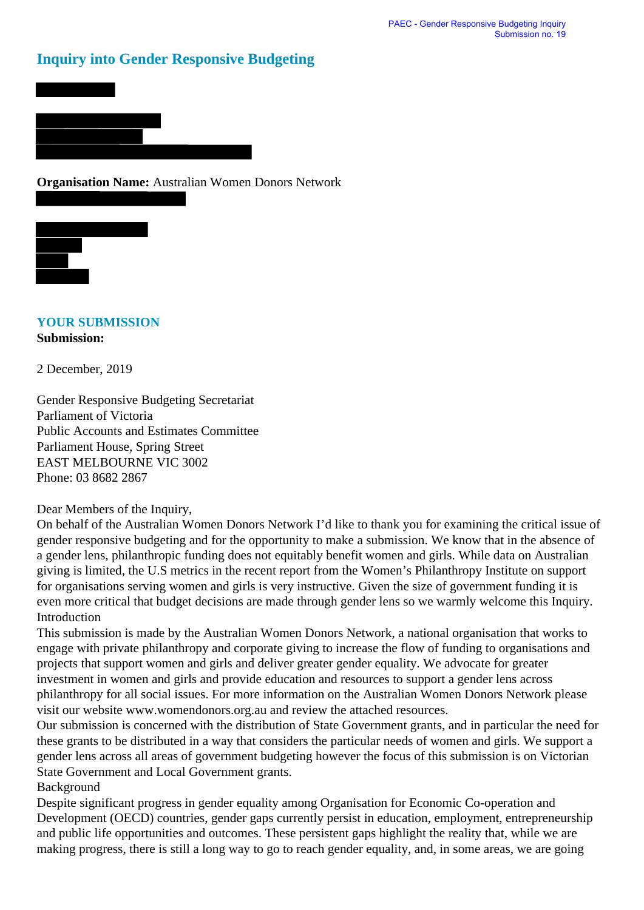# **Inquiry into Gender Responsive Budgeting**





## **YOUR SUBMISSION Submission:**

2 December, 2019

Gender Responsive Budgeting Secretariat Parliament of Victoria Public Accounts and Estimates Committee Parliament House, Spring Street EAST MELBOURNE VIC 3002 Phone: 03 8682 2867

Dear Members of the Inquiry,

On behalf of the Australian Women Donors Network I'd like to thank you for examining the critical issue of gender responsive budgeting and for the opportunity to make a submission. We know that in the absence of a gender lens, philanthropic funding does not equitably benefit women and girls. While data on Australian giving is limited, the U.S metrics in the recent report from the Women's Philanthropy Institute on support for organisations serving women and girls is very instructive. Given the size of government funding it is even more critical that budget decisions are made through gender lens so we warmly welcome this Inquiry. Introduction

This submission is made by the Australian Women Donors Network, a national organisation that works to engage with private philanthropy and corporate giving to increase the flow of funding to organisations and projects that support women and girls and deliver greater gender equality. We advocate for greater investment in women and girls and provide education and resources to support a gender lens across philanthropy for all social issues. For more information on the Australian Women Donors Network please visit our website www.womendonors.org.au and review the attached resources.

Our submission is concerned with the distribution of State Government grants, and in particular the need for these grants to be distributed in a way that considers the particular needs of women and girls. We support a gender lens across all areas of government budgeting however the focus of this submission is on Victorian State Government and Local Government grants.

Background

Despite significant progress in gender equality among Organisation for Economic Co-operation and Development (OECD) countries, gender gaps currently persist in education, employment, entrepreneurship and public life opportunities and outcomes. These persistent gaps highlight the reality that, while we are making progress, there is still a long way to go to reach gender equality, and, in some areas, we are going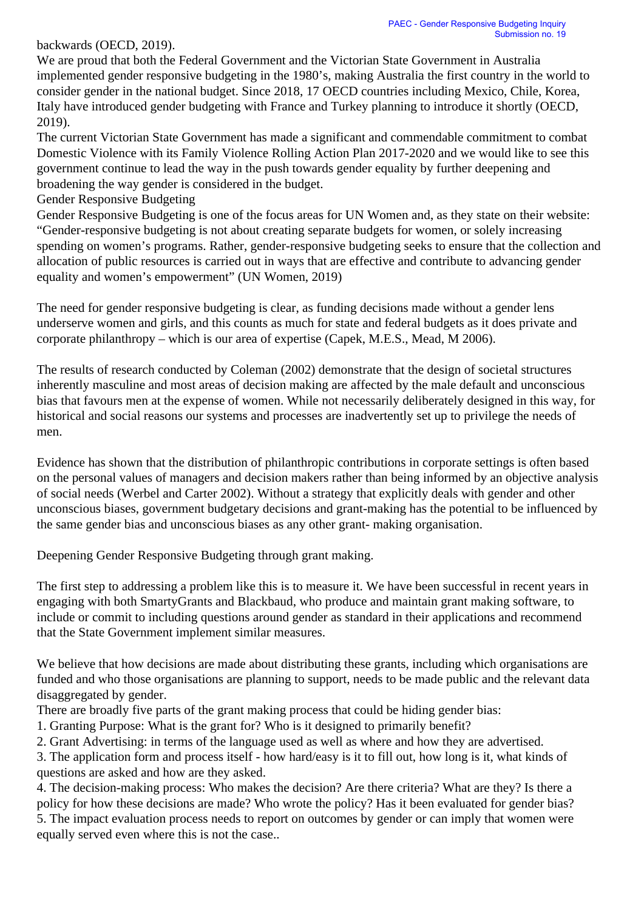### backwards (OECD, 2019).

We are proud that both the Federal Government and the Victorian State Government in Australia implemented gender responsive budgeting in the 1980's, making Australia the first country in the world to consider gender in the national budget. Since 2018, 17 OECD countries including Mexico, Chile, Korea, Italy have introduced gender budgeting with France and Turkey planning to introduce it shortly (OECD, 2019).

The current Victorian State Government has made a significant and commendable commitment to combat Domestic Violence with its Family Violence Rolling Action Plan 2017-2020 and we would like to see this government continue to lead the way in the push towards gender equality by further deepening and broadening the way gender is considered in the budget.

Gender Responsive Budgeting

Gender Responsive Budgeting is one of the focus areas for UN Women and, as they state on their website: "Gender-responsive budgeting is not about creating separate budgets for women, or solely increasing spending on women's programs. Rather, gender-responsive budgeting seeks to ensure that the collection and allocation of public resources is carried out in ways that are effective and contribute to advancing gender equality and women's empowerment" (UN Women, 2019)

The need for gender responsive budgeting is clear, as funding decisions made without a gender lens underserve women and girls, and this counts as much for state and federal budgets as it does private and corporate philanthropy – which is our area of expertise (Capek, M.E.S., Mead, M 2006).

The results of research conducted by Coleman (2002) demonstrate that the design of societal structures inherently masculine and most areas of decision making are affected by the male default and unconscious bias that favours men at the expense of women. While not necessarily deliberately designed in this way, for historical and social reasons our systems and processes are inadvertently set up to privilege the needs of men.

Evidence has shown that the distribution of philanthropic contributions in corporate settings is often based on the personal values of managers and decision makers rather than being informed by an objective analysis of social needs (Werbel and Carter 2002). Without a strategy that explicitly deals with gender and other unconscious biases, government budgetary decisions and grant-making has the potential to be influenced by the same gender bias and unconscious biases as any other grant- making organisation.

Deepening Gender Responsive Budgeting through grant making.

The first step to addressing a problem like this is to measure it. We have been successful in recent years in engaging with both SmartyGrants and Blackbaud, who produce and maintain grant making software, to include or commit to including questions around gender as standard in their applications and recommend that the State Government implement similar measures.

We believe that how decisions are made about distributing these grants, including which organisations are funded and who those organisations are planning to support, needs to be made public and the relevant data disaggregated by gender.

There are broadly five parts of the grant making process that could be hiding gender bias:

1. Granting Purpose: What is the grant for? Who is it designed to primarily benefit?

2. Grant Advertising: in terms of the language used as well as where and how they are advertised.

3. The application form and process itself - how hard/easy is it to fill out, how long is it, what kinds of questions are asked and how are they asked.

4. The decision-making process: Who makes the decision? Are there criteria? What are they? Is there a policy for how these decisions are made? Who wrote the policy? Has it been evaluated for gender bias? 5. The impact evaluation process needs to report on outcomes by gender or can imply that women were equally served even where this is not the case..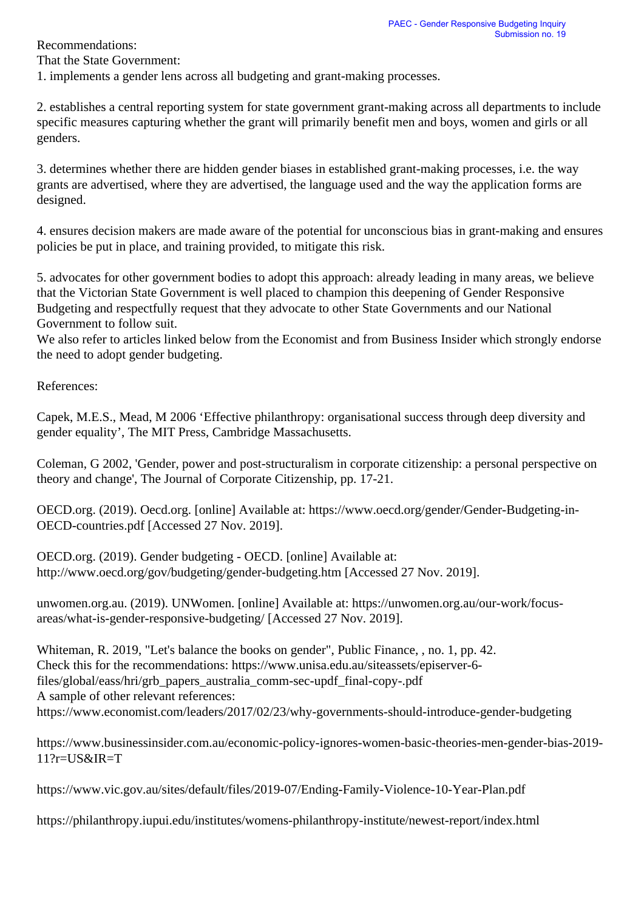Recommendations:

That the State Government:

1. implements a gender lens across all budgeting and grant-making processes.

2. establishes a central reporting system for state government grant-making across all departments to include specific measures capturing whether the grant will primarily benefit men and boys, women and girls or all genders.

3. determines whether there are hidden gender biases in established grant-making processes, i.e. the way grants are advertised, where they are advertised, the language used and the way the application forms are designed.

4. ensures decision makers are made aware of the potential for unconscious bias in grant-making and ensures policies be put in place, and training provided, to mitigate this risk.

5. advocates for other government bodies to adopt this approach: already leading in many areas, we believe that the Victorian State Government is well placed to champion this deepening of Gender Responsive Budgeting and respectfully request that they advocate to other State Governments and our National Government to follow suit.

We also refer to articles linked below from the Economist and from Business Insider which strongly endorse the need to adopt gender budgeting.

References:

Capek, M.E.S., Mead, M 2006 'Effective philanthropy: organisational success through deep diversity and gender equality', The MIT Press, Cambridge Massachusetts.

Coleman, G 2002, 'Gender, power and post-structuralism in corporate citizenship: a personal perspective on theory and change', The Journal of Corporate Citizenship, pp. 17-21.

OECD.org. (2019). Oecd.org. [online] Available at: https://www.oecd.org/gender/Gender-Budgeting-in-OECD-countries.pdf [Accessed 27 Nov. 2019].

OECD.org. (2019). Gender budgeting - OECD. [online] Available at: http://www.oecd.org/gov/budgeting/gender-budgeting.htm [Accessed 27 Nov. 2019].

unwomen.org.au. (2019). UNWomen. [online] Available at: https://unwomen.org.au/our-work/focusareas/what-is-gender-responsive-budgeting/ [Accessed 27 Nov. 2019].

Whiteman, R. 2019, "Let's balance the books on gender", Public Finance, , no. 1, pp. 42. Check this for the recommendations: https://www.unisa.edu.au/siteassets/episerver-6 files/global/eass/hri/grb\_papers\_australia\_comm-sec-updf\_final-copy-.pdf A sample of other relevant references: https://www.economist.com/leaders/2017/02/23/why-governments-should-introduce-gender-budgeting

https://www.businessinsider.com.au/economic-policy-ignores-women-basic-theories-men-gender-bias-2019- 11?r=US&IR=T

https://www.vic.gov.au/sites/default/files/2019-07/Ending-Family-Violence-10-Year-Plan.pdf

https://philanthropy.iupui.edu/institutes/womens-philanthropy-institute/newest-report/index.html